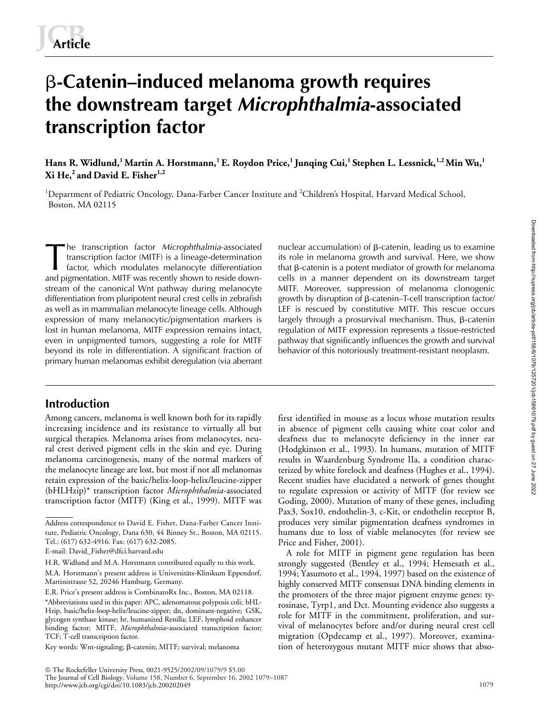# -**-Catenin–induced melanoma growth requires the downstream target** *Microphthalmia***-associated transcription factor**

Hans R. Widlund,<sup>1</sup> Martin A. Horstmann,<sup>1</sup> E. Roydon Price,<sup>1</sup> Junqing Cui,<sup>1</sup> Stephen L. Lessnick,<sup>1,2</sup> Min Wu,<sup>1</sup> **Xi He,2 and David E. Fisher1,2**

<sup>1</sup>Department of Pediatric Oncology, Dana-Farber Cancer Institute and <sup>2</sup>Children's Hospital, Harvard Medical School, Boston, MA 02115

he transcription factor *Microphthalmia*-associated transcription factor (MITF) is a lineage-determination factor, which modulates melanocyte differentiation and pigmentation. MITF was recently shown to reside downstream of the canonical Wnt pathway during melanocyte differentiation from pluripotent neural crest cells in zebrafish as well as in mammalian melanocyte lineage cells. Although expression of many melanocytic/pigmentation markers is lost in human melanoma, MITF expression remains intact, even in unpigmented tumors, suggesting a role for MITF beyond its role in differentiation. A significant fraction of primary human melanomas exhibit deregulation (via aberrant The transcription factor *Microphthalmia*-associated nuclear accumulation) of  $\beta$ <br>transcription factor (MITF) is a lineage-determination its role in melanoma grow<br>factor, which modulates melanocyte differentiation that

# **Introduction**

Among cancers, melanoma is well known both for its rapidly increasing incidence and its resistance to virtually all but surgical therapies. Melanoma arises from melanocytes, neural crest derived pigment cells in the skin and eye. During melanoma carcinogenesis, many of the normal markers of the melanocyte lineage are lost, but most if not all melanomas retain expression of the basic/helix-loop-helix/leucine-zipper (bHLHzip)\* transcription factor *Microphthalmia*-associated transcription factor (MITF) (King et al., 1999). MITF was

nuclear accumulation) of  $\beta$ -catenin, leading us to examine its role in melanoma growth and survival. Here, we show that β-catenin is a potent mediator of growth for melanoma cells in a manner dependent on its downstream target MITF. Moreover, suppression of melanoma clonogenic growth by disruption of β-catenin–T-cell transcription factor/ LEF is rescued by constitutive MITF. This rescue occurs largely through a prosurvival mechanism. Thus, β-catenin regulation of MITF expression represents a tissue-restricted pathway that significantly influences the growth and survival behavior of this notoriously treatment-resistant neoplasm.

first identified in mouse as a locus whose mutation results in absence of pigment cells causing white coat color and deafness due to melanocyte deficiency in the inner ear (Hodgkinson et al., 1993). In humans, mutation of MITF results in Waardenburg Syndrome IIa, a condition characterized by white forelock and deafness (Hughes et al., 1994). Recent studies have elucidated a network of genes thought to regulate expression or activity of MITF (for review see Goding, 2000). Mutation of many of these genes, including Pax3, Sox10, endothelin-3, c-Kit, or endothelin receptor B, produces very similar pigmentation deafness syndromes in humans due to loss of viable melanocytes (for review see Price and Fisher, 2001).

A role for MITF in pigment gene regulation has been strongly suggested (Bentley et al., 1994; Hemesath et al., 1994; Yasumoto et al., 1994, 1997) based on the existence of highly conserved MITF consensus DNA binding elements in the promoters of the three major pigment enzyme genes: tyrosinase, Tyrp1, and Dct. Mounting evidence also suggests a role for MITF in the commitment, proliferation, and survival of melanocytes before and/or during neural crest cell migration (Opdecamp et al., 1997). Moreover, examination of heterozygous mutant MITF mice shows that abso-

Address correspondence to David E. Fisher, Dana-Farber Cancer Institute, Pediatric Oncology, Dana 630, 44 Binney St., Boston, MA 02115. Tel.: (617) 632-4916. Fax: (617) 632-2085.

E-mail: David\_Fisher@dfci.harvard.edu

H.R. Widlund and M.A. Horstmann contributed equally to this work. M.A. Horstmann's present address is Universitäts-Klinikum Eppendorf, Martinistrasse 52, 20246 Hamburg, Germany.

E.R. Price's present address is CombinatoRx Inc., Boston, MA 02118. \*Abbreviations used in this paper: APC, adenomatous polyposis coli; bHL-Hzip, basic/helix-loop-helix/leucine-zipper; dn, dominant-negative; GSK, glycogen synthase kinase; hr, humanized Renilla; LEF, lymphoid enhancer binding factor; MITF, *Microphthalmia*-associated transcription factor; TCF; T-cell transcription factor.

Key words: Wnt-signaling; β-catenin; MITF; survival; melanoma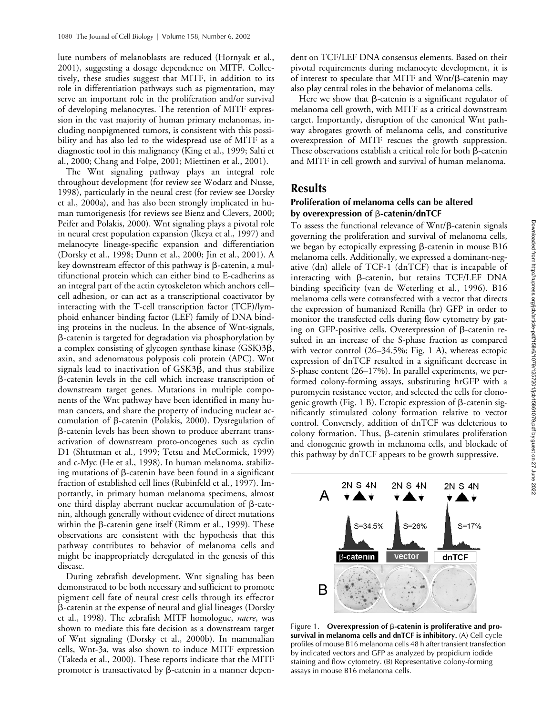lute numbers of melanoblasts are reduced (Hornyak et al., 2001), suggesting a dosage dependence on MITF. Collectively, these studies suggest that MITF, in addition to its role in differentiation pathways such as pigmentation, may serve an important role in the proliferation and/or survival of developing melanocytes. The retention of MITF expression in the vast majority of human primary melanomas, including nonpigmented tumors, is consistent with this possibility and has also led to the widespread use of MITF as a diagnostic tool in this malignancy (King et al., 1999; Salti et al., 2000; Chang and Folpe, 2001; Miettinen et al., 2001).

The Wnt signaling pathway plays an integral role throughout development (for review see Wodarz and Nusse, 1998), particularly in the neural crest (for review see Dorsky et al., 2000a), and has also been strongly implicated in human tumorigenesis (for reviews see Bienz and Clevers, 2000; Peifer and Polakis, 2000). Wnt signaling plays a pivotal role in neural crest population expansion (Ikeya et al., 1997) and melanocyte lineage-specific expansion and differentiation (Dorsky et al., 1998; Dunn et al., 2000; Jin et al., 2001). A key downstream effector of this pathway is  $\beta$ -catenin, a multifunctional protein which can either bind to E-cadherins as an integral part of the actin cytoskeleton which anchors cell– cell adhesion, or can act as a transcriptional coactivator by interacting with the T-cell transcription factor (TCF)/lymphoid enhancer binding factor (LEF) family of DNA binding proteins in the nucleus. In the absence of Wnt-signals, --catenin is targeted for degradation via phosphorylation by a complex consisting of glycogen synthase kinase  $(GSK)3\beta$ , axin, and adenomatous polyposis coli protein (APC). Wnt  $s$ ignals lead to inactivation of  $GSK3\beta,$  and thus stabilize --catenin levels in the cell which increase transcription of downstream target genes. Mutations in multiple components of the Wnt pathway have been identified in many human cancers, and share the property of inducing nuclear accumulation of *β*-catenin (Polakis, 2000). Dysregulation of --catenin levels has been shown to produce aberrant transactivation of downstream proto-oncogenes such as cyclin D1 (Shtutman et al., 1999; Tetsu and McCormick, 1999) and c-Myc (He et al., 1998). In human melanoma, stabilizing mutations of  $\beta$ -catenin have been found in a significant fraction of established cell lines (Rubinfeld et al., 1997). Importantly, in primary human melanoma specimens, almost one third display aberrant nuclear accumulation of  $\beta$ -catenin, although generally without evidence of direct mutations within the  $\beta$ -catenin gene itself (Rimm et al., 1999). These observations are consistent with the hypothesis that this pathway contributes to behavior of melanoma cells and might be inappropriately deregulated in the genesis of this disease.

During zebrafish development, Wnt signaling has been demonstrated to be both necessary and sufficient to promote pigment cell fate of neural crest cells through its effector --catenin at the expense of neural and glial lineages (Dorsky et al., 1998). The zebrafish MITF homologue, *nacre*, was shown to mediate this fate decision as a downstream target of Wnt signaling (Dorsky et al., 2000b). In mammalian cells, Wnt-3a, was also shown to induce MITF expression (Takeda et al., 2000). These reports indicate that the MITF promoter is transactivated by  $\beta$ -catenin in a manner dependent on TCF/LEF DNA consensus elements. Based on their pivotal requirements during melanocyte development, it is of interest to speculate that MITF and Wnt/ß-catenin may also play central roles in the behavior of melanoma cells.

Here we show that  $\beta$ -catenin is a significant regulator of melanoma cell growth, with MITF as a critical downstream target. Importantly, disruption of the canonical Wnt pathway abrogates growth of melanoma cells, and constitutive overexpression of MITF rescues the growth suppression. These observations establish a critical role for both  $\beta$ -catenin and MITF in cell growth and survival of human melanoma.

## **Results**

## **Proliferation of melanoma cells can be altered**  by overexpression of **β-catenin/dnTCF**

To assess the functional relevance of Wnt/ß-catenin signals governing the proliferation and survival of melanoma cells, we began by ectopically expressing  $\beta$ -catenin in mouse B16 melanoma cells. Additionally, we expressed a dominant-negative (dn) allele of TCF-1 (dnTCF) that is incapable of interacting with ß-catenin, but retains TCF/LEF DNA binding specificity (van de Weterling et al., 1996). B16 melanoma cells were cotransfected with a vector that directs the expression of humanized Renilla (hr) GFP in order to monitor the transfected cells during flow cytometry by gating on GFP-positive cells. Overexpression of  $\beta$ -catenin resulted in an increase of the S-phase fraction as compared with vector control (26–34.5%; Fig. 1 A), whereas ectopic expression of dnTCF resulted in a significant decrease in S-phase content (26–17%). In parallel experiments, we performed colony-forming assays, substituting hrGFP with a puromycin resistance vector, and selected the cells for clonogenic growth (Fig. 1 B). Ectopic expression of  $\beta$ -catenin significantly stimulated colony formation relative to vector control. Conversely, addition of dnTCF was deleterious to  $\mathop{\rm colony}\nolimits$  formation. Thus,  $\beta$ -catenin stimulates proliferation and clonogenic growth in melanoma cells, and blockade of this pathway by dnTCF appears to be growth suppressive.



**Figure 1.** Overexpression of β-catenin is proliferative and pro**survival in melanoma cells and dnTCF is inhibitory.** (A) Cell cycle profiles of mouse B16 melanoma cells 48 h after transient transfection by indicated vectors and GFP as analyzed by propidium iodide staining and flow cytometry. (B) Representative colony-forming assays in mouse B16 melanoma cells.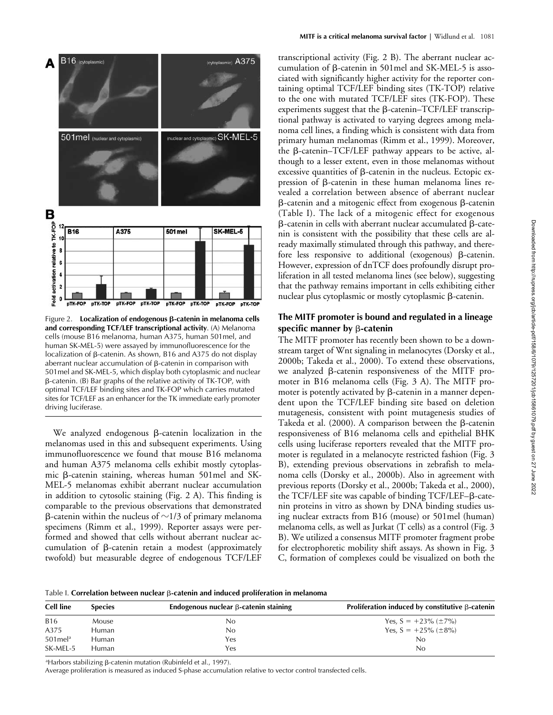

**Figure 2.** Localization of endogenous β-catenin in melanoma cells **and corresponding TCF/LEF transcriptional activity**. (A) Melanoma cells (mouse B16 melanoma, human A375, human 501mel, and human SK-MEL-5) were assayed by immunofluorescence for the localization of  $\beta$ -catenin. As shown, B16 and A375 do not display aberrant nuclear accumulation of  $\beta$ -catenin in comparison with 501mel and SK-MEL-5, which display both cytoplasmic and nuclear β-catenin. (Β) Bar graphs of the relative activity of TK-TOP, with optimal TCF/LEF binding sites and TK-FOP which carries mutated sites for TCF/LEF as an enhancer for the TK immediate early promoter driving luciferase.

We analyzed endogenous  $\beta$ -catenin localization in the melanomas used in this and subsequent experiments. Using immunofluorescence we found that mouse B16 melanoma and human A375 melanoma cells exhibit mostly cytoplasmic ß-catenin staining, whereas human 501mel and SK-MEL-5 melanomas exhibit aberrant nuclear accumulation in addition to cytosolic staining (Fig. 2 A). This finding is comparable to the previous observations that demonstrated β-catenin within the nucleus of  $\sim$ 1/3 of primary melanoma specimens (Rimm et al., 1999). Reporter assays were performed and showed that cells without aberrant nuclear accumulation of  $\beta$ -catenin retain a modest (approximately twofold) but measurable degree of endogenous TCF/LEF

transcriptional activity (Fig. 2 B). The aberrant nuclear accumulation of  $\beta$ -catenin in 501mel and SK-MEL-5 is associated with significantly higher activity for the reporter containing optimal TCF/LEF binding sites (TK-TOP) relative to the one with mutated TCF/LEF sites (TK-FOP). These  $experiments$  suggest that the  $\beta$ -catenin–TCF/LEF transcriptional pathway is activated to varying degrees among melanoma cell lines, a finding which is consistent with data from primary human melanomas (Rimm et al., 1999). Moreover, the  $\beta$ -catenin-TCF/LEF pathway appears to be active, although to a lesser extent, even in those melanomas without excessive quantities of  $\beta$ -catenin in the nucleus. Ectopic expression of ß-catenin in these human melanoma lines revealed a correlation between absence of aberrant nuclear  $\beta$ -catenin and a mitogenic effect from exogenous  $\beta$ -catenin (Table I). The lack of a mitogenic effect for exogenous  $\beta$ -catenin in cells with aberrant nuclear accumulated  $\beta$ -catenin is consistent with the possibility that these cells are already maximally stimulated through this pathway, and therefore less responsive to additional (exogenous) ß-catenin. However, expression of dnTCF does profoundly disrupt proliferation in all tested melanoma lines (see below), suggesting that the pathway remains important in cells exhibiting either nuclear plus cytoplasmic or mostly cytoplasmic  $\beta$ -catenin.

## **The MITF promoter is bound and regulated in a lineage**  specific manner by **β-cateni**n

The MITF promoter has recently been shown to be a downstream target of Wnt signaling in melanocytes (Dorsky et al., 2000b; Takeda et al., 2000). To extend these observations, we analyzed ß-catenin responsiveness of the MITF promoter in B16 melanoma cells (Fig. 3 A). The MITF promoter is potently activated by  $\beta$ -catenin in a manner dependent upon the TCF/LEF binding site based on deletion mutagenesis, consistent with point mutagenesis studies of Takeda et al. (2000). A comparison between the  $\beta$ -catenin responsiveness of B16 melanoma cells and epithelial BHK cells using luciferase reporters revealed that the MITF promoter is regulated in a melanocyte restricted fashion (Fig. 3 B), extending previous observations in zebrafish to melanoma cells (Dorsky et al., 2000b). Also in agreement with previous reports (Dorsky et al., 2000b; Takeda et al., 2000), the TCF/LEF site was capable of binding TCF/LEF- $\beta$ -catenin proteins in vitro as shown by DNA binding studies using nuclear extracts from B16 (mouse) or 501mel (human) melanoma cells, as well as Jurkat (T cells) as a control (Fig. 3 B). We utilized a consensus MITF promoter fragment probe for electrophoretic mobility shift assays. As shown in Fig. 3 C, formation of complexes could be visualized on both the

Table I. **Correlation between nuclear** ß-**catenin and induced proliferation in melanoma** 

| <b>Cell line</b>       | <b>Species</b> | Endogenous nuclear $\beta$ -catenin staining | Proliferation induced by constitutive $\beta$ -catenin |
|------------------------|----------------|----------------------------------------------|--------------------------------------------------------|
| <b>B16</b>             | Mouse          | No                                           | Yes, $S = +23\%$ ( $\pm 7\%$ )                         |
| A375                   | Human          | No                                           | Yes, $S = +25\%$ ( $\pm 8\%$ )                         |
| $501$ mel <sup>a</sup> | Human          | Yes                                          | No                                                     |
| SK-MEL-5               | Human          | Yes                                          | No                                                     |

<sup>a</sup>Harbors stabilizing β-catenin mutation (Rubinfeld et al., 1997).

Average proliferation is measured as induced S-phase accumulation relative to vector control transfected cells.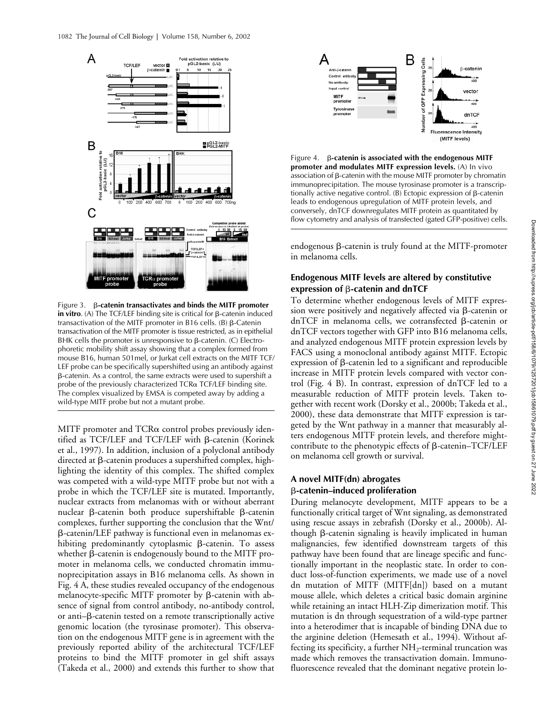

Figure 3. β-catenin transactivates and binds the MITF promoter in vitro. (A) The TCF/LEF binding site is critical for β-catenin induced transactivation of the MITF promoter in B16 cells. (B)  $\beta$ -Catenin transactivation of the MITF promoter is tissue restricted, as in epithelial BHK cells the promoter is unresponsive to  $\beta$ -catenin. (C) Electrophoretic mobility shift assay showing that a complex formed from mouse B16, human 501mel, or Jurkat cell extracts on the MITF TCF/ LEF probe can be specifically supershifted using an antibody against β-catenin. As a control, the same extracts were used to supershift a probe of the previously characterized  $TCR\alpha$   $TCF/LEF$  binding site. The complex visualized by EMSA is competed away by adding a wild-type MITF probe but not a mutant probe.

MITF promoter and  $TCR\alpha$  control probes previously identified as TCF/LEF and TCF/LEF with β-catenin (Korinek et al., 1997). In addition, inclusion of a polyclonal antibody directed at  $\beta$ -catenin produces a supershifted complex, highlighting the identity of this complex. The shifted complex was competed with a wild-type MITF probe but not with a probe in which the TCF/LEF site is mutated. Importantly, nuclear extracts from melanomas with or without aberrant nuclear ß-catenin both produce supershiftable ß-catenin complexes, further supporting the conclusion that the Wnt/ --catenin/LEF pathway is functional even in melanomas exhibiting predominantly cytoplasmic  $\beta$ -catenin. To assess whether  $\beta$ -catenin is endogenously bound to the MITF promoter in melanoma cells, we conducted chromatin immunoprecipitation assays in B16 melanoma cells. As shown in Fig. 4 A, these studies revealed occupancy of the endogenous melanocyte-specific MITF promoter by β-catenin with absence of signal from control antibody, no-antibody control, or anti- $\beta$ -catenin tested on a remote transcriptionally active genomic location (the tyrosinase promoter). This observation on the endogenous MITF gene is in agreement with the previously reported ability of the architectural TCF/LEF proteins to bind the MITF promoter in gel shift assays (Takeda et al., 2000) and extends this further to show that



Figure 4. β-catenin is associated with the endogenous MITF **promoter and modulates MITF expression levels.** (A) In vivo association of  $\beta$ -catenin with the mouse MITF promoter by chromatin immunoprecipitation. The mouse tyrosinase promoter is a transcriptionally active negative control.  $(B)$  Ectopic expression of  $\beta$ -catenin leads to endogenous upregulation of MITF protein levels, and conversely, dnTCF downregulates MITF protein as quantitated by flow cytometry and analysis of transfected (gated GFP-positive) cells.

endogenous  $\beta$ -catenin is truly found at the MITF-promoter in melanoma cells.

## **Endogenous MITF levels are altered by constitutive expression of β-catenin and dnTCF**

To determine whether endogenous levels of MITF expres $s$ ion were positively and negatively affected via  $\beta$ -catenin or dnTCF in melanoma cells, we cotransfected ß-catenin or dnTCF vectors together with GFP into B16 melanoma cells, and analyzed endogenous MITF protein expression levels by FACS using a monoclonal antibody against MITF. Ectopic  $exp$ ression of  $\beta$ -catenin led to a significant and reproducible increase in MITF protein levels compared with vector control (Fig. 4 B). In contrast, expression of dnTCF led to a measurable reduction of MITF protein levels. Taken together with recent work (Dorsky et al., 2000b; Takeda et al., 2000), these data demonstrate that MITF expression is targeted by the Wnt pathway in a manner that measurably alters endogenous MITF protein levels, and therefore mightcontribute to the phenotypic effects of  $\beta$ -catenin-TCF/LEF on melanoma cell growth or survival.

# **A novel MITF(dn) abrogates**  -**-catenin–induced proliferation**

During melanocyte development, MITF appears to be a functionally critical target of Wnt signaling, as demonstrated using rescue assays in zebrafish (Dorsky et al., 2000b). Although  $\beta$ -catenin signaling is heavily implicated in human malignancies, few identified downstream targets of this pathway have been found that are lineage specific and functionally important in the neoplastic state. In order to conduct loss-of-function experiments, we made use of a novel dn mutation of MITF (MITF[dn]) based on a mutant mouse allele, which deletes a critical basic domain arginine while retaining an intact HLH-Zip dimerization motif. This mutation is dn through sequestration of a wild-type partner into a heterodimer that is incapable of binding DNA due to the arginine deletion (Hemesath et al., 1994). Without affecting its specificity, a further  $NH_2$ -terminal truncation was made which removes the transactivation domain. Immunofluorescence revealed that the dominant negative protein lo-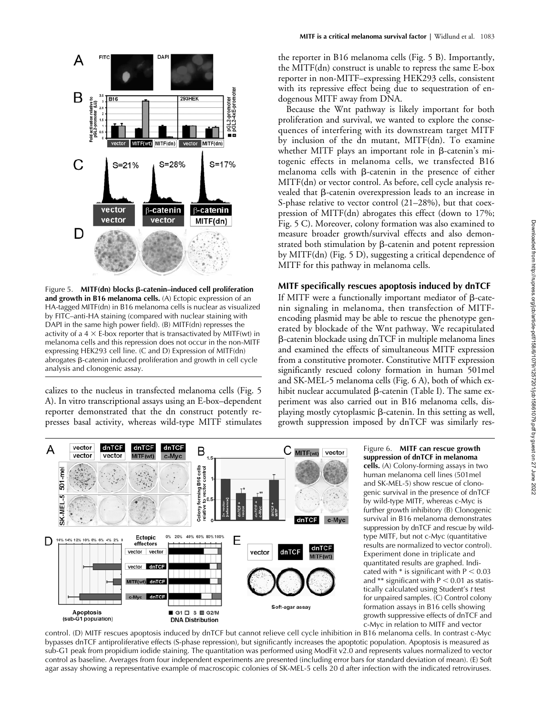

Figure 5. **MITF(dn) blocks β-catenin–induced cell proliferation and growth in B16 melanoma cells.** (A) Ectopic expression of an HA-tagged MITF(dn) in B16 melanoma cells is nuclear as visualized by FITC–anti-HA staining (compared with nuclear staining with DAPI in the same high power field). (B) MITF(dn) represses the activity of a  $4 \times E$ -box reporter that is transactivated by MITF(wt) in melanoma cells and this repression does not occur in the non-MITF expressing HEK293 cell line. (C and D) Expression of MITF(dn) abrogates β-catenin induced proliferation and growth in cell cycle analysis and clonogenic assay.

calizes to the nucleus in transfected melanoma cells (Fig. 5 A). In vitro transcriptional assays using an E-box–dependent reporter demonstrated that the dn construct potently represses basal activity, whereas wild-type MITF stimulates the reporter in B16 melanoma cells (Fig. 5 B). Importantly, the MITF(dn) construct is unable to repress the same E-box reporter in non-MITF–expressing HEK293 cells, consistent with its repressive effect being due to sequestration of endogenous MITF away from DNA.

Because the Wnt pathway is likely important for both proliferation and survival, we wanted to explore the consequences of interfering with its downstream target MITF by inclusion of the dn mutant, MITF(dn). To examine whether MITF plays an important role in  $\beta$ -catenin's mitogenic effects in melanoma cells, we transfected B16 melanoma cells with  $\beta$ -catenin in the presence of either MITF(dn) or vector control. As before, cell cycle analysis revealed that  $\beta$ -catenin overexpression leads to an increase in S-phase relative to vector control (21–28%), but that coexpression of MITF(dn) abrogates this effect (down to 17%; Fig. 5 C). Moreover, colony formation was also examined to measure broader growth/survival effects and also demonstrated both stimulation by  $\beta$ -catenin and potent repression by MITF(dn) (Fig. 5 D), suggesting a critical dependence of MITF for this pathway in melanoma cells.

#### **MITF specifically rescues apoptosis induced by dnTCF**

If MITF were a functionally important mediator of  $\beta$ -catenin signaling in melanoma, then transfection of MITFencoding plasmid may be able to rescue the phenotype generated by blockade of the Wnt pathway. We recapitulated --catenin blockade using dnTCF in multiple melanoma lines and examined the effects of simultaneous MITF expression from a constitutive promoter. Constitutive MITF expression significantly rescued colony formation in human 501mel and SK-MEL-5 melanoma cells (Fig. 6 A), both of which exhibit nuclear accumulated  $\beta$ -catenin (Table I). The same experiment was also carried out in B16 melanoma cells, displaying mostly cytoplasmic  $\beta$ -catenin. In this setting as well, growth suppression imposed by dnTCF was similarly res-



Figure 6. **MITF can rescue growth suppression of dnTCF in melanoma cells.** (A) Colony-forming assays in two human melanoma cell lines (501mel and SK-MEL-5) show rescue of clonogenic survival in the presence of dnTCF by wild-type MITF, whereas c-Myc is further growth inhibitory (B) Clonogenic survival in B16 melanoma demonstrates suppression by dnTCF and rescue by wildtype MITF, but not c-Myc (quantitative results are normalized to vector control). Experiment done in triplicate and quantitated results are graphed. Indicated with  $*$  is significant with  $P < 0.03$ and \*\* significant with  $P < 0.01$  as statistically calculated using Student's *t* test for unpaired samples. (C) Control colony formation assays in B16 cells showing growth suppressive effects of dnTCF and c-Myc in relation to MITF and vector

control. (D) MITF rescues apoptosis induced by dnTCF but cannot relieve cell cycle inhibition in B16 melanoma cells. In contrast c-Myc bypasses dnTCF antiproliferative effects (S-phase repression), but significantly increases the apoptotic population. Apoptosis is measured as sub-G1 peak from propidium iodide staining. The quantitation was performed using ModFit v2.0 and represents values normalized to vector control as baseline. Averages from four independent experiments are presented (including error bars for standard deviation of mean). (E) Soft agar assay showing a representative example of macroscopic colonies of SK-MEL-5 cells 20 d after infection with the indicated retroviruses.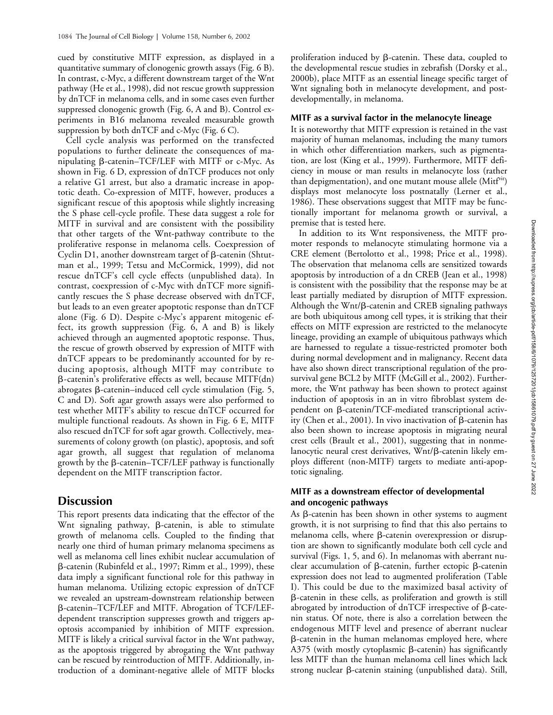cued by constitutive MITF expression, as displayed in a quantitative summary of clonogenic growth assays (Fig. 6 B). In contrast, c-Myc, a different downstream target of the Wnt pathway (He et al., 1998), did not rescue growth suppression by dnTCF in melanoma cells, and in some cases even further suppressed clonogenic growth (Fig. 6, A and B). Control experiments in B16 melanoma revealed measurable growth suppression by both dnTCF and c-Myc (Fig. 6 C).

Cell cycle analysis was performed on the transfected populations to further delineate the consequences of manipulating β-catenin-TCF/LEF with MITF or c-Myc. As shown in Fig. 6 D, expression of dnTCF produces not only a relative G1 arrest, but also a dramatic increase in apoptotic death. Co-expression of MITF, however, produces a significant rescue of this apoptosis while slightly increasing the S phase cell-cycle profile. These data suggest a role for MITF in survival and are consistent with the possibility that other targets of the Wnt-pathway contribute to the proliferative response in melanoma cells. Coexpression of Cyclin D1, another downstream target of  $\beta$ -catenin (Shtutman et al., 1999; Tetsu and McCormick, 1999), did not rescue dnTCF's cell cycle effects (unpublished data). In contrast, coexpression of c-Myc with dnTCF more significantly rescues the S phase decrease observed with dnTCF, but leads to an even greater apoptotic response than dnTCF alone (Fig. 6 D). Despite c-Myc's apparent mitogenic effect, its growth suppression (Fig. 6, A and B) is likely achieved through an augmented apoptotic response. Thus, the rescue of growth observed by expression of MITF with dnTCF appears to be predominantly accounted for by reducing apoptosis, although MITF may contribute to --catenin's proliferative effects as well, because MITF(dn) abrogates ß-catenin–induced cell cycle stimulation (Fig. 5, C and D). Soft agar growth assays were also performed to test whether MITF's ability to rescue dnTCF occurred for multiple functional readouts. As shown in Fig. 6 E, MITF also rescued dnTCF for soft agar growth. Collectively, measurements of colony growth (on plastic), apoptosis, and soft agar growth, all suggest that regulation of melanoma growth by the  $\beta$ -catenin–TCF/LEF pathway is functionally dependent on the MITF transcription factor.

# **Discussion**

This report presents data indicating that the effector of the Wnt signaling pathway, ß-catenin, is able to stimulate growth of melanoma cells. Coupled to the finding that nearly one third of human primary melanoma specimens as well as melanoma cell lines exhibit nuclear accumulation of --catenin (Rubinfeld et al., 1997; Rimm et al., 1999), these data imply a significant functional role for this pathway in human melanoma. Utilizing ectopic expression of dnTCF we revealed an upstream-downstream relationship between --catenin–TCF/LEF and MITF. Abrogation of TCF/LEFdependent transcription suppresses growth and triggers apoptosis accompanied by inhibition of MITF expression. MITF is likely a critical survival factor in the Wnt pathway, as the apoptosis triggered by abrogating the Wnt pathway can be rescued by reintroduction of MITF. Additionally, introduction of a dominant-negative allele of MITF blocks

proliferation induced by  $\beta$ -catenin. These data, coupled to the developmental rescue studies in zebrafish (Dorsky et al., 2000b), place MITF as an essential lineage specific target of Wnt signaling both in melanocyte development, and postdevelopmentally, in melanoma.

#### **MITF as a survival factor in the melanocyte lineage**

It is noteworthy that MITF expression is retained in the vast majority of human melanomas, including the many tumors in which other differentiation markers, such as pigmentation, are lost (King et al., 1999). Furthermore, MITF deficiency in mouse or man results in melanocyte loss (rather than depigmentation), and one mutant mouse allele (Mitf<sup>VIt</sup>) displays most melanocyte loss postnatally (Lerner et al., 1986). These observations suggest that MITF may be functionally important for melanoma growth or survival, a premise that is tested here.

In addition to its Wnt responsiveness, the MITF promoter responds to melanocyte stimulating hormone via a CRE element (Bertolotto et al., 1998; Price et al., 1998). The observation that melanoma cells are sensitized towards apoptosis by introduction of a dn CREB (Jean et al., 1998) is consistent with the possibility that the response may be at least partially mediated by disruption of MITF expression. Although the Wnt/β-catenin and CREB signaling pathways are both ubiquitous among cell types, it is striking that their effects on MITF expression are restricted to the melanocyte lineage, providing an example of ubiquitous pathways which are harnessed to regulate a tissue-restricted promoter both during normal development and in malignancy. Recent data have also shown direct transcriptional regulation of the prosurvival gene BCL2 by MITF (McGill et al., 2002). Furthermore, the Wnt pathway has been shown to protect against induction of apoptosis in an in vitro fibroblast system dependent on  $\beta$ -catenin/TCF-mediated transcriptional activity (Chen et al., 2001). In vivo inactivation of  $\beta$ -catenin has also been shown to increase apoptosis in migrating neural crest cells (Brault et al., 2001), suggesting that in nonmelanocytic neural crest derivatives, Wnt/β-catenin likely employs different (non-MITF) targets to mediate anti-apoptotic signaling.

#### **MITF as a downstream effector of developmental and oncogenic pathways**

As  $\beta$ -catenin has been shown in other systems to augment growth, it is not surprising to find that this also pertains to melanoma cells, where  $\beta$ -catenin overexpression or disruption are shown to significantly modulate both cell cycle and survival (Figs. 1, 5, and 6). In melanomas with aberrant nuclear accumulation of  $\beta$ -catenin, further ectopic  $\beta$ -catenin expression does not lead to augmented proliferation (Table I). This could be due to the maximized basal activity of --catenin in these cells, as proliferation and growth is still abrogated by introduction of  $dnTCF$  irrespective of  $\beta$ -catenin status. Of note, there is also a correlation between the endogenous MITF level and presence of aberrant nuclear --catenin in the human melanomas employed here, where A375 (with mostly cytoplasmic ß-catenin) has significantly less MITF than the human melanoma cell lines which lack strong nuclear ß-catenin staining (unpublished data). Still,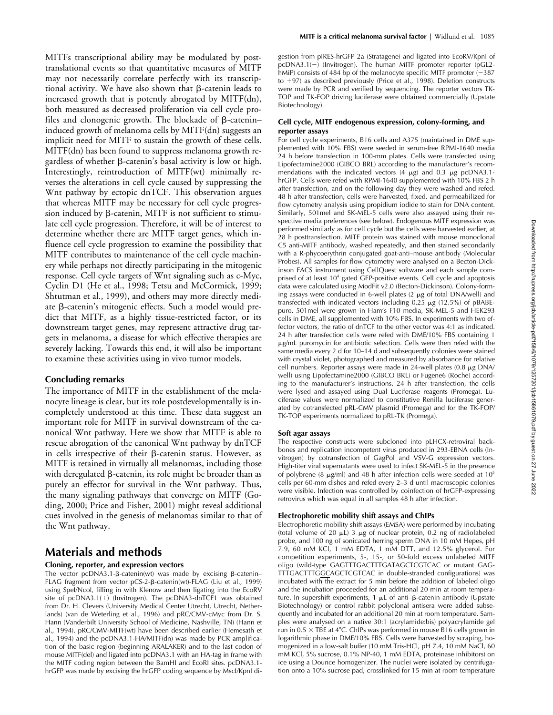MITFs transcriptional ability may be modulated by posttranslational events so that quantitative measures of MITF may not necessarily correlate perfectly with its transcriptional activity. We have also shown that  $\beta$ -catenin leads to increased growth that is potently abrogated by MITF(dn), both measured as decreased proliferation via cell cycle profiles and clonogenic growth. The blockade of  $\beta$ -catenin– induced growth of melanoma cells by MITF(dn) suggests an implicit need for MITF to sustain the growth of these cells. MITF(dn) has been found to suppress melanoma growth regardless of whether  $\beta$ -catenin's basal activity is low or high. Interestingly, reintroduction of MITF(wt) minimally reverses the alterations in cell cycle caused by suppressing the Wnt pathway by ectopic dnTCF. This observation argues that whereas MITF may be necessary for cell cycle progression induced by  $\beta$ -catenin, MITF is not sufficient to stimulate cell cycle progression. Therefore, it will be of interest to determine whether there are MITF target genes, which influence cell cycle progression to examine the possibility that MITF contributes to maintenance of the cell cycle machinery while perhaps not directly participating in the mitogenic response. Cell cycle targets of Wnt signaling such as c-Myc, Cyclin D1 (He et al., 1998; Tetsu and McCormick, 1999; Shtutman et al., 1999), and others may more directly mediate β-catenin's mitogenic effects. Such a model would predict that MITF, as a highly tissue-restricted factor, or its downstream target genes, may represent attractive drug targets in melanoma, a disease for which effective therapies are severely lacking. Towards this end, it will also be important to examine these activities using in vivo tumor models.

#### **Concluding remarks**

The importance of MITF in the establishment of the melanocyte lineage is clear, but its role postdevelopmentally is incompletely understood at this time. These data suggest an important role for MITF in survival downstream of the canonical Wnt pathway. Here we show that MITF is able to rescue abrogation of the canonical Wnt pathway by dnTCF in cells irrespective of their ß-catenin status. However, as MITF is retained in virtually all melanomas, including those with deregulated  $\beta$ -catenin, its role might be broader than as purely an effector for survival in the Wnt pathway. Thus, the many signaling pathways that converge on MITF (Goding, 2000; Price and Fisher, 2001) might reveal additional cues involved in the genesis of melanomas similar to that of the Wnt pathway.

# **Materials and methods**

#### **Cloning, reporter, and expression vectors**

The vector pcDNA3.1- $\beta$ -catenin(wt) was made by excising  $\beta$ -catenin-FLAG fragment from vector pCS-2-β-catenin(wt)-FLAG (Liu et al., 1999) using SpeI/NcoI, filling in with Klenow and then ligating into the EcoRV site of  $pcDNA3.1(+)$  (Invitrogen). The  $pcDNA3$ -dnTCF1 was obtained from Dr. H. Clevers (University Medical Center Utrecht, Utrecht, Netherlands) (van de Weterling et al., 1996) and pRC/CMV-cMyc from Dr. S. Hann (Vanderbilt University School of Medicine, Nashville, TN) (Hann et al., 1994). pRC/CMV-MITF(wt) have been described earlier (Hemesath et al., 1994) and the pcDNA3.1-HA/MITF(dn) was made by PCR amplification of the basic region (beginning ARALAKER) and to the last codon of mouse MITF(del) and ligated into pcDNA3.1 with an HA-tag in frame with the MITF coding region between the BamHI and EcoRI sites. pcDNA3.1 hrGFP was made by excising the hrGFP coding sequence by MscI/KpnI digestion from pIRES-hrGFP 2a (Stratagene) and ligated into EcoRV/KpnI of pcDNA3.1(-) (Invitrogen). The human MITF promoter reporter (pGL2hMiP) consists of 484 bp of the melanocyte specific MITF promoter  $(-387)$ to  $+97$ ) as described previously (Price et al., 1998). Deletion constructs were made by PCR and verified by sequencing. The reporter vectors TK-TOP and TK-FOP driving luciferase were obtained commercially (Upstate Biotechnology).

#### **Cell cycle, MITF endogenous expression, colony-forming, and reporter assays**

For cell cycle experiments, B16 cells and A375 (maintained in DME supplemented with 10% FBS) were seeded in serum-free RPMI-1640 media 24 h before transfection in 100-mm plates. Cells were transfected using Lipofectamine2000 (GIBCO BRL) according to the manufacturer's recommendations with the indicated vectors  $(4 \mu g)$  and  $0.3 \mu g$  pcDNA3.1hrGFP. Cells were refed with RPMI-1640 supplemented with 10% FBS 2 h after transfection, and on the following day they were washed and refed. 48 h after transfection, cells were harvested, fixed, and permeabilized for flow cytometry analysis using propidium iodide to stain for DNA content. Similarly, 501mel and SK-MEL-5 cells were also assayed using their respective media preferences (see below). Endogenous MITF expression was performed similarly as for cell cycle but the cells were harvested earlier, at 28 h posttransfection. MITF protein was stained with mouse monoclonal C5 anti-MITF antibody, washed repeatedly, and then stained secondarily with a R-phycoerythrin conjugated goat-anti–mouse antibody (Molecular Probes). All samples for flow cytometry were analysed on a Becton-Dickinson FACS instrument using CellQuest software and each sample comprised of at least 10<sup>4</sup> gated GFP-positive events. Cell cycle and apoptosis data were calculated using ModFit v2.0 (Becton-Dickinson). Colony-forming assays were conducted in 6-well plates (2  $\mu$ g of total DNA/well) and transfected with indicated vectors including 0.25 µg (12.5%) of pBABEpuro. 501mel were grown in Ham's F10 media, SK-MEL-5 and HEK293 cells in DME, all supplemented with 10% FBS. In experiments with two effector vectors, the ratio of dnTCF to the other vector was 4:1 as indicated. 24 h after transfection cells were refed with DME/10% FBS containing 1 g/mL puromycin for antibiotic selection. Cells were then refed with the same media every 2 d for 10–14 d and subsequently colonies were stained with crystal violet, photographed and measured by absorbance for relative cell numbers. Reporter assays were made in 24-well plates (0.8 μg DNA/ well) using Lipofectamine2000 (GIBCO BRL) or Fugene6 (Roche) according to the manufacturer's instructions. 24 h after transfection, the cells were lysed and assayed using Dual Luciferase reagents (Promega). Luciferase values were normalized to constitutive Renilla luciferase generated by cotransfected pRL-CMV plasmid (Promega) and for the TK-FOP/ TK-TOP experiments normalized to pRL-TK (Promega).

#### **Soft agar assays**

The respective constructs were subcloned into pLHCX-retroviral backbones and replication incompetent virus produced in 293-EBNA cells (Invitrogen) by cotransfection of GagPol and VSV-G expression vectors. High-titer viral supernatants were used to infect SK-MEL-5 in the presence of polybrene (8  $\mu$ g/ml) and 48 h after infection cells were seeded at  $10^5$ cells per 60-mm dishes and refed every 2–3 d until macroscopic colonies were visible. Infection was controlled by coinfection of hrGFP-expressing retrovirus which was equal in all samples 48 h after infection.

#### **Electrophoretic mobility shift assays and ChIPs**

Electrophoretic mobility shift assays (EMSA) were performed by incubating (total volume of 20 μL) 3 μg of nuclear protein, 0.2 ng of radiolabeled probe, and 100 ng of sonicated herring sperm DNA in 10 mM Hepes, pH 7.9, 60 mM KCl, 1 mM EDTA, 1 mM DTT, and 12.5% glycerol. For competition experiments, 5-, 15-, or 50-fold excess unlabeled MITF oligo (wild-type GAGTTTGACTTTGATAGCTCGTCAC or mutant GAG-TTTGACTTTGGCAGCTCGTCAC in double-stranded configurations) was incubated with the extract for 5 min before the addition of labeled oligo and the incubation proceeded for an additional 20 min at room temperature. In supershift experiments, 1 µL of anti–β-catenin antibody (Upstate Biotechnology) or control rabbit polyclonal antisera were added subsequently and incubated for an additional 20 min at room temperature. Samples were analysed on a native 30:1 (acrylamide:bis) polyacrylamide gel run in  $0.5 \times$  TBE at 4°C. ChIPs was performed in mouse B16 cells grown in logarithmic phase in DME/10% FBS. Cells were harvested by scraping, homogenized in a low-salt buffer (10 mM Tris-HCl, pH 7.4, 10 mM NaCl, 60 mM KCl, 5% sucrose, 0.1% NP-40, 1 mM EDTA, proteinase inhibitors) on ice using a Dounce homogenizer. The nuclei were isolated by centrifugation onto a 10% sucrose pad, crosslinked for 15 min at room temperature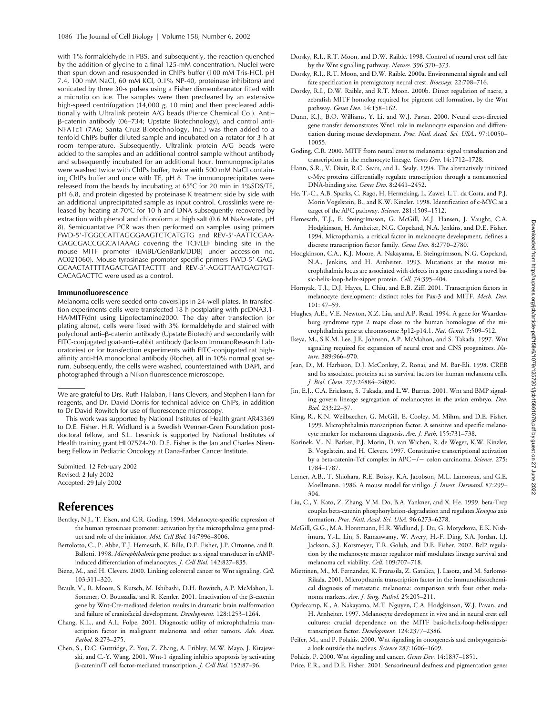with 1% formaldehyde in PBS, and subsequently, the reaction quenched by the addition of glycine to a final 125-mM concentration. Nuclei were then spun down and resuspended in ChIPs buffer (100 mM Tris-HCl, pH 7.4, 100 mM NaCl, 60 mM KCl, 0.1% NP-40, proteinase inhibitors) and sonicated by three 30-s pulses using a Fisher dismembranator fitted with a microtip on ice. The samples were then precleared by an extensive high-speed centrifugation (14,000 *g*, 10 min) and then precleared additionally with Ultralink protein A/G beads (Pierce Chemical Co.). Anti– --catenin antibody (06–734; Upstate Biotechnology), and control anti-NFATc1 (7A6; Santa Cruz Biotechnology, Inc.) was then added to a tenfold ChIPs buffer diluted sample and incubated on a rotator for 3 h at room temperature. Subsequently, Ultralink protein A/G beads were added to the samples and an additional control sample without antibody and subsequently incubated for an additional hour. Immunoprecipitates were washed twice with ChIPs buffer, twice with 500 mM NaCl containing ChIPs buffer and once with TE, pH 8. The immunoprecipitates were released from the beads by incubating at 65°C for 20 min in 1%SDS/TE, pH 6.8, and protein digested by proteinase K treatment side by side with an additional unprecipitated sample as input control. Crosslinks were released by heating at 70°C for 10 h and DNA subsequently recovered by extraction with phenol and chloroform at high salt (0.6 M NaAcetate, pH 8). Semiquantative PCR was then performed on samples using primers FWD-5-TGGCCATTAGGGAAGTCTCATGTG and REV-5-AATTCGAA-GAGCGACCGGCATAAAG covering the TCF/LEF binding site in the mouse MITF promoter (EMBL/GenBank/DDBJ under accession no. AC021060). Mouse tyrosinase promoter specific primers FWD-5-GAG-GCAACTATTTTAGACTGATTACTTT and REV-5-AGGTTAATGAGTGT-CACAGACTTC were used as a control.

#### **Immunofluorescence**

Melanoma cells were seeded onto coverslips in 24-well plates. In transfection experiments cells were transfected 18 h postplating with pcDNA3.1- HA/MITF(dn) using Lipofectamine2000. The day after transfection (or plating alone), cells were fixed with 3% formaldehyde and stained with polyclonal anti–ß-catenin antibody (Upstate Biotech) and secondarily with FITC-conjugated goat-anti–rabbit antibody (Jackson ImmunoResearch Laboratories) or for transfection experiments with FITC-conjugated rat highaffinity anti-HA monoclonal antibody (Roche), all in 10% normal goat serum. Subsequently, the cells were washed, counterstained with DAPI, and photographed through a Nikon fluorescence microscope.

We are grateful to Drs. Ruth Halaban, Hans Clevers, and Stephen Hann for reagents, and Dr. David Dorris for technical advice on ChIPs, in addition to Dr David Rowitch for use of fluorescence microscopy.

This work was supported by National Institutes of Health grant AR43369 to D.E. Fisher. H.R. Widlund is a Swedish Wenner-Gren Foundation postdoctoral fellow, and S.L. Lessnick is supported by National Institutes of Health training grant HL07574-20. D.E. Fisher is the Jan and Charles Nirenberg Fellow in Pediatric Oncology at Dana-Farber Cancer Institute.

Submitted: 12 February 2002 Revised: 2 July 2002 Accepted: 29 July 2002

## **References**

- Bentley, N.J., T. Eisen, and C.R. Goding. 1994. Melanocyte-specific expression of the human tyrosinase promoter: activation by the micropthalmia gene product and role of the initiator. *Mol. Cell Biol.* 14:7996–8006.
- Bertolotto, C., P. Abbe, T.J. Hemesath, K. Bille, D.E. Fisher, J.P. Ortonne, and R. Ballotti. 1998. *Microphthalmia* gene product as a signal transducer in cAMPinduced differentiation of melanocytes. *J. Cell Biol.* 142:827–835.
- Bienz, M., and H. Clevers. 2000. Linking colorectal cancer to Wnt signaling. *Cell*. 103:311–320.
- Brault, V., R. Moore, S. Kutsch, M. Ishibashi, D.H. Rowitch, A.P. McMahon, L. Sommer, O. Boussadia, and R. Kemler. 2001. Inactivation of the ß-catenin gene by Wnt-Cre-mediated deletion results in dramatic brain malformation and failure of craniofacial development. *Development.* 128:1253–1264.
- Chang, K.L., and A.L. Folpe. 2001. Diagnostic utility of microphthalmia transcription factor in malignant melanoma and other tumors. *Adv. Anat. Pathol.* 8:273–275.
- Chen, S., D.C. Guttridge, Z. You, Z. Zhang, A. Fribley, M.W. Mayo, J. Kitajewski, and C.-Y. Wang. 2001. Wnt-1 signaling inhibits apoptosis by activating --catenin/T cell factor-mediated transcription. *J. Cell Biol.* 152:87–96.
- Dorsky, R.I., R.T. Moon, and D.W. Raible. 1998. Control of neural crest cell fate by the Wnt signalling pathway. *Nature.* 396:370–373.
- Dorsky, R.I., R.T. Moon, and D.W. Raible. 2000a. Environmental signals and cell fate specification in premigratory neural crest. *Bioessays.* 22:708–716.
- Dorsky, R.I., D.W. Raible, and R.T. Moon. 2000b. Direct regulation of nacre, a zebrafish MITF homolog required for pigment cell formation, by the Wnt pathway. *Genes Dev.* 14:158–162.
- Dunn, K.J., B.O. Williams, Y. Li, and W.J. Pavan. 2000. Neural crest-directed gene transfer demonstrates Wnt1 role in melanocyte expansion and diffrentiation during mouse development. *Proc. Natl. Acad. Sci. USA..* 97:10050– 10055.
- Goding, C.R. 2000. MITF from neural crest to melanoma: signal transduction and transcription in the melanocyte lineage. *Genes Dev.* 14:1712–1728.
- Hann, S.R., V. Dixit, R.C. Sears, and L. Sealy. 1994. The alternatively initiated c-Myc proteins differentially regulate transcription through a noncanonical DNA-binding site. *Genes Dev.* 8:2441–2452.
- He, T.-C., A.B. Sparks, C. Rago, H. Hermeking, L. Zawel, L.T. da Costa, and P.J. Morin Vogelstein, B., and K.W. Kinzler. 1998. Identification of c-MYC as a target of the APC pathway. *Science.* 281:1509–1512.
- Hemesath, T.J., E. Steingrímsson, G. McGill, M.J. Hansen, J. Vaught, C.A. Hodgkinson, H. Arnheiter, N.G. Copeland, N.A. Jenkins, and D.E. Fisher. 1994. Micropthamia, a critical factor in melanocyte development, defines a discrete transcription factor family. *Genes Dev*. 8:2770–2780.
- Hodgkinson, C.A., K.J. Moore, A. Nakayama, E. Steingrímsson, N.G. Copeland, N.A., Jenkins, and H. Arnheiter. 1993. Mutations at the mouse microphthalmia locus are associated with defects in a gene encoding a novel basic-helix-loop-helix-zipper protein. *Cell.* 74:395–404.
- Hornyak, T.J., D.J. Hayes, L. Chiu, and E.B. Ziff. 2001. Transcription factors in melanocyte development: distinct roles for Pax-3 and MITF. *Mech. Dev.* 101: 47–59.
- Hughes, A.E., V.E. Newton, X.Z. Liu, and A.P. Read. 1994. A gene for Waardenburg syndrome type 2 maps close to the human homologue of the microphthalmia gene at chromosome 3p12-p14.1. *Nat. Genet.* 7:509–512.
- Ikeya, M., S.K.M. Lee, J.E. Johnson, A.P. McMahon, and S. Takada. 1997. Wnt signaling required for expansion of neural crest and CNS progenitors. *Nature*. 389:966–970.
- Jean, D., M. Harbison, D.J. McConkey, Z. Ronai, and M. Bar-Eli. 1998. CREB and Its associated proteins act as survival factors for human melanoma cells. *J. Biol. Chem.* 273:24884–24890.
- Jin, E.J., C.A. Erickson, S. Takada, and L.W. Burrus. 2001. Wnt and BMP signaling govern lineage segregation of melanocytes in the avian embryo. *Dev. Biol.* 233:22–37.
- King, R., K.N. Weilbaecher, G. McGill, E. Cooley, M. Mihm, and D.E. Fisher. 1999. Microphthalmia transcription factor. A sensitive and specific melanocyte marker for melanoma diagnosis. *Am. J. Path.* 155:731–738.
- Korinek, V., N. Barker, P.J. Morin, D. van Wichen, R. de Weger, K.W. Kinzler, B. Vogelstein, and H. Clevers. 1997. Constitutive transcriptional activation by a beta-catenin-Tcf complex in APC-/- colon carcinoma. *Science*. 275: 1784–1787.
- Lerner, A.B., T. Shiohara, R.E. Boissy, K.A. Jacobson, M.L. Lamoreux, and G.E. Moellmann. 1986. A mouse model for vitiligo. *J. Invest. Dermatol.* 87:299– 304.
- Liu, C., Y. Kato, Z. Zhang, V.M. Do, B.A. Yankner, and X. He. 1999. beta-Trcp couples beta-catenin phosphorylation-degradation and regulates *Xenopus* axis formation. *Proc. Natl. Acad. Sci. USA*. 96:6273–6278.
- McGill, G.G., M.A. Horstmann, H.R. Widlund, J. Du, G. Motyckova, E.K. Nishimura, Y.-L. Lin, S. Ramaswamy, W. Avery, H.-F. Ding, S.A. Jordan, I.J. Jackson, S.J. Korsmeyer, T.R. Golub, and D.E. Fisher. 2002. Bcl2 regulation by the melanocyte master regulator mitf modulates lineage survival and melanoma cell viability. *Cell.* 109:707–718.
- Miettinen, M., M. Fernandez, K. Franssila, Z. Gatalica, J. Lasota, and M. Sarlomo-Rikala. 2001. Micropthamia transcription factor in the immunohistochemical diagnosis of metastatic melanoma: comparison with four other melanoma markers. *Am. J. Surg. Pathol.* 25:205–211.
- Opdecamp, K., A. Nakayama, M.T. Nguyen, C.A. Hodgkinson, W.J. Pavan, and H. Arnheiter. 1997. Melanocyte development in vivo and in neural crest cell cultures: crucial dependence on the MITF basic-helix-loop-helix-zipper transcription factor. *Development.* 124:2377–2386.
- Peifer, M., and P. Polakis. 2000. Wnt signaling in oncogenesis and embryogenesisa look outside the nucleus. *Science* 287:1606–1609.
- Polakis, P. 2000. Wnt signaling and cancer. *Genes Dev.* 14:1837–1851.
- Price, E.R., and D.E. Fisher. 2001. Sensorineural deafness and pigmentation genes